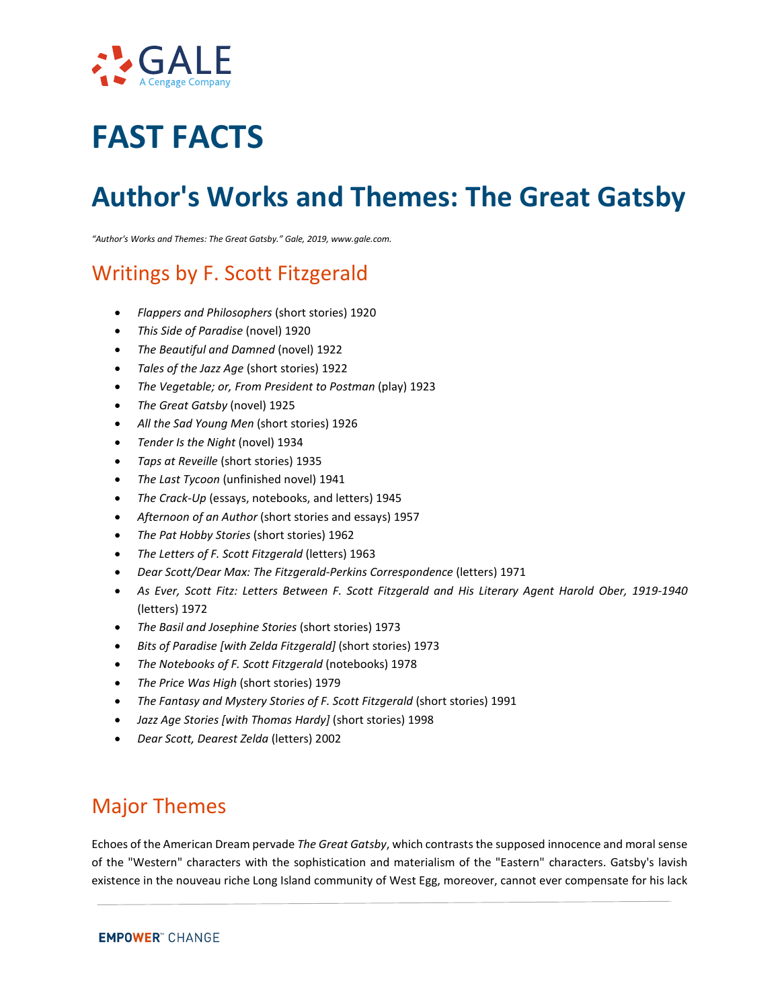

# **FAST FACTS**

# **Author's Works and Themes: The Great Gatsby**

*"Author's Works and Themes: The Great Gatsby." Gale, 2019, www.gale.com.*

## Writings by F. Scott Fitzgerald

- *Flappers and Philosophers* (short stories) 1920
- *This Side of Paradise* (novel) 1920
- *The Beautiful and Damned* (novel) 1922
- *Tales of the Jazz Age* (short stories) 1922
- *The Vegetable; or, From President to Postman* (play) 1923
- *The Great Gatsby* (novel) 1925
- *All the Sad Young Men* (short stories) 1926
- *Tender Is the Night* (novel) 1934
- *Taps at Reveille* (short stories) 1935
- *The Last Tycoon* (unfinished novel) 1941
- *The Crack-Up* (essays, notebooks, and letters) 1945
- *Afternoon of an Author* (short stories and essays) 1957
- *The Pat Hobby Stories* (short stories) 1962
- *The Letters of F. Scott Fitzgerald* (letters) 1963
- *Dear Scott/Dear Max: The Fitzgerald-Perkins Correspondence* (letters) 1971
- *As Ever, Scott Fitz: Letters Between F. Scott Fitzgerald and His Literary Agent Harold Ober, 1919-1940*  (letters) 1972
- *The Basil and Josephine Stories* (short stories) 1973
- *Bits of Paradise [with Zelda Fitzgerald]* (short stories) 1973
- *The Notebooks of F. Scott Fitzgerald* (notebooks) 1978
- *The Price Was High* (short stories) 1979
- The Fantasy and Mystery Stories of F. Scott Fitzgerald (short stories) 1991
- *Jazz Age Stories [with Thomas Hardy]* (short stories) 1998
- *Dear Scott, Dearest Zelda* (letters) 2002

#### Major Themes

Echoes of the American Dream pervade *The Great Gatsby*, which contrasts the supposed innocence and moral sense of the "Western" characters with the sophistication and materialism of the "Eastern" characters. Gatsby's lavish existence in the nouveau riche Long Island community of West Egg, moreover, cannot ever compensate for his lack